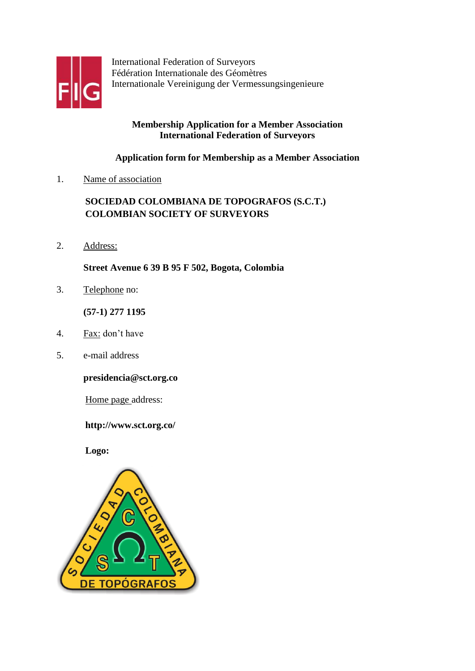

International Federation of Surveyors Fédération Internationale des Géomètres Internationale Vereinigung der Vermessungsingenieure

# **Membership Application for a Member Association International Federation of Surveyors**

# **Application form for Membership as a Member Association**

1. Name of association

# **SOCIEDAD COLOMBIANA DE TOPOGRAFOS (S.C.T.) COLOMBIAN SOCIETY OF SURVEYORS**

2. Address:

**Street Avenue 6 39 B 95 F 502, Bogota, Colombia**

3. Telephone no:

**(57-1) 277 1195**

- 4. Fax: don't have
- 5. e-mail address

**presidencia@sct.org.co**

Home page address:

# **<http://www.sct.org.co/>**

**Logo:**

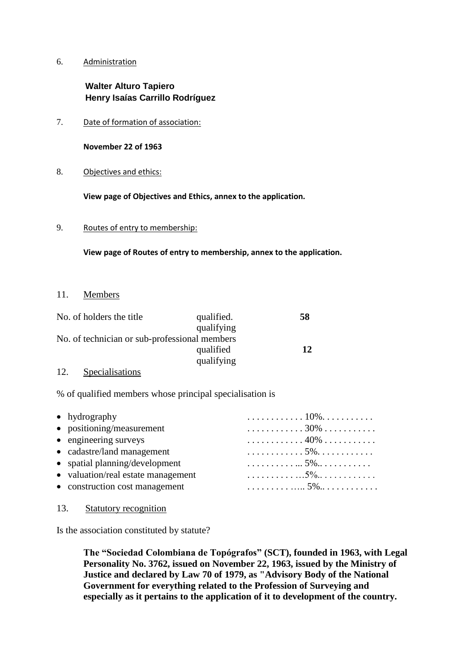#### 6. Administration

# **Walter Alturo Tapiero Henry Isaías Carrillo Rodríguez**

7. Date of formation of association:

**November 22 of 1963**

8. Objectives and ethics:

**View page of Objectives and Ethics, annex to the application.**

9. Routes of entry to membership:

**View page of Routes of entry to membership, annex to the application.**

#### 11. Members

| No. of holders the title                      | qualified. | 58 |
|-----------------------------------------------|------------|----|
|                                               | qualifying |    |
| No. of technician or sub-professional members |            |    |
|                                               | qualified  | 12 |
|                                               | qualifying |    |
|                                               |            |    |

#### 12. Specialisations

% of qualified members whose principal specialisation is

| $\bullet$ hydrography              | . 10%. |
|------------------------------------|--------|
| • positioning/measurement          | . 30%  |
| • engineering surveys              | . 40%  |
| • cadastre/land management         |        |
| • spatial planning/development     |        |
| • valuation/real estate management |        |
| • construction cost management     |        |

13. Statutory recognition

Is the association constituted by statute?

**The "Sociedad Colombiana de Topógrafos" (SCT), founded in 1963, with Legal Personality No. 3762, issued on November 22, 1963, issued by the Ministry of Justice and declared by Law 70 of 1979, as "Advisory Body of the National Government for everything related to the Profession of Surveying and especially as it pertains to the application of it to development of the country.**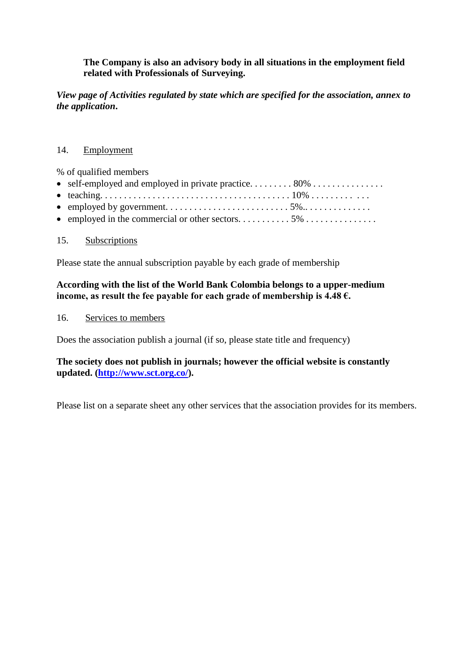# **The Company is also an advisory body in all situations in the employment field related with Professionals of Surveying.**

*View page of Activities regulated by state which are specified for the association, annex to the application***.**

#### 14. Employment

% of qualified members

#### 15. Subscriptions

Please state the annual subscription payable by each grade of membership

# **According with the list of the World Bank Colombia belongs to a upper-medium income, as result the fee payable for each grade of membership is 4.48 €.**

#### 16. Services to members

Does the association publish a journal (if so, please state title and frequency)

**The society does not publish in journals; however the official website is constantly updated. [\(http://www.sct.org.co/\)](http://www.sct.org.co/).**

Please list on a separate sheet any other services that the association provides for its members.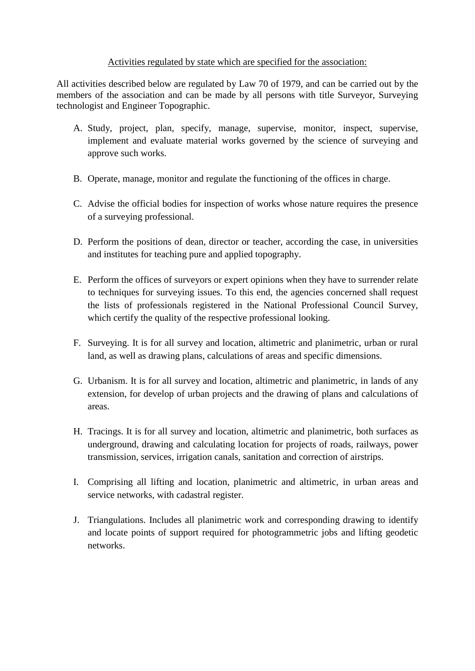# Activities regulated by state which are specified for the association:

All activities described below are regulated by Law 70 of 1979, and can be carried out by the members of the association and can be made by all persons with title Surveyor, Surveying technologist and Engineer Topographic.

- A. Study, project, plan, specify, manage, supervise, monitor, inspect, supervise, implement and evaluate material works governed by the science of surveying and approve such works.
- B. Operate, manage, monitor and regulate the functioning of the offices in charge.
- C. Advise the official bodies for inspection of works whose nature requires the presence of a surveying professional.
- D. Perform the positions of dean, director or teacher, according the case, in universities and institutes for teaching pure and applied topography.
- E. Perform the offices of surveyors or expert opinions when they have to surrender relate to techniques for surveying issues. To this end, the agencies concerned shall request the lists of professionals registered in the National Professional Council Survey, which certify the quality of the respective professional looking.
- F. Surveying. It is for all survey and location, altimetric and planimetric, urban or rural land, as well as drawing plans, calculations of areas and specific dimensions.
- G. Urbanism. It is for all survey and location, altimetric and planimetric, in lands of any extension, for develop of urban projects and the drawing of plans and calculations of areas.
- H. Tracings. It is for all survey and location, altimetric and planimetric, both surfaces as underground, drawing and calculating location for projects of roads, railways, power transmission, services, irrigation canals, sanitation and correction of airstrips.
- I. Comprising all lifting and location, planimetric and altimetric, in urban areas and service networks, with cadastral register.
- J. Triangulations. Includes all planimetric work and corresponding drawing to identify and locate points of support required for photogrammetric jobs and lifting geodetic networks.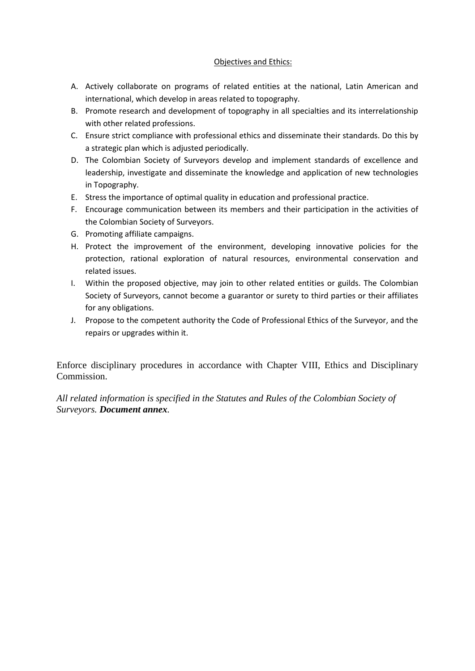#### Objectives and Ethics:

- A. Actively collaborate on programs of related entities at the national, Latin American and international, which develop in areas related to topography.
- B. Promote research and development of topography in all specialties and its interrelationship with other related professions.
- C. Ensure strict compliance with professional ethics and disseminate their standards. Do this by a strategic plan which is adjusted periodically.
- D. The Colombian Society of Surveyors develop and implement standards of excellence and leadership, investigate and disseminate the knowledge and application of new technologies in Topography.
- E. Stress the importance of optimal quality in education and professional practice.
- F. Encourage communication between its members and their participation in the activities of the Colombian Society of Surveyors.
- G. Promoting affiliate campaigns.
- H. Protect the improvement of the environment, developing innovative policies for the protection, rational exploration of natural resources, environmental conservation and related issues.
- I. Within the proposed objective, may join to other related entities or guilds. The Colombian Society of Surveyors, cannot become a guarantor or surety to third parties or their affiliates for any obligations.
- J. Propose to the competent authority the Code of Professional Ethics of the Surveyor, and the repairs or upgrades within it.

Enforce disciplinary procedures in accordance with Chapter VIII, Ethics and Disciplinary Commission.

*All related information is specified in the Statutes and Rules of the Colombian Society of Surveyors. Document annex.*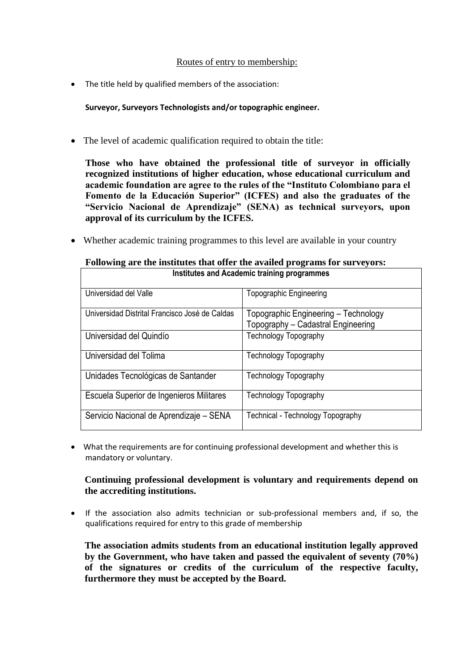#### Routes of entry to membership:

• The title held by qualified members of the association:

**Surveyor, Surveyors Technologists and/or topographic engineer.**

The level of academic qualification required to obtain the title:

**Those who have obtained the professional title of surveyor in officially recognized institutions of higher education, whose educational curriculum and academic foundation are agree to the rules of the "Instituto Colombiano para el Fomento de la Educación Superior" (ICFES) and also the graduates of the "Servicio Nacional de Aprendizaje" (SENA) as technical surveyors, upon approval of its curriculum by the ICFES.**

Whether academic training programmes to this level are available in your country

| Institutes and Academic training programmes    |                                                                            |  |
|------------------------------------------------|----------------------------------------------------------------------------|--|
| Universidad del Valle                          | Topographic Engineering                                                    |  |
| Universidad Distrital Francisco José de Caldas | Topographic Engineering - Technology<br>Topography - Cadastral Engineering |  |
| Universidad del Quindío                        | <b>Technology Topography</b>                                               |  |
| Universidad del Tolima                         | <b>Technology Topography</b>                                               |  |
| Unidades Tecnológicas de Santander             | <b>Technology Topography</b>                                               |  |
| Escuela Superior de Ingenieros Militares       | <b>Technology Topography</b>                                               |  |
| Servicio Nacional de Aprendizaje - SENA        | Technical - Technology Topography                                          |  |

# **Following are the institutes that offer the availed programs for surveyors:**

 What the requirements are for continuing professional development and whether this is mandatory or voluntary.

# **Continuing professional development is voluntary and requirements depend on the accrediting institutions.**

 If the association also admits technician or sub-professional members and, if so, the qualifications required for entry to this grade of membership

**The association admits students from an educational institution legally approved by the Government, who have taken and passed the equivalent of seventy (70%) of the signatures or credits of the curriculum of the respective faculty, furthermore they must be accepted by the Board.**